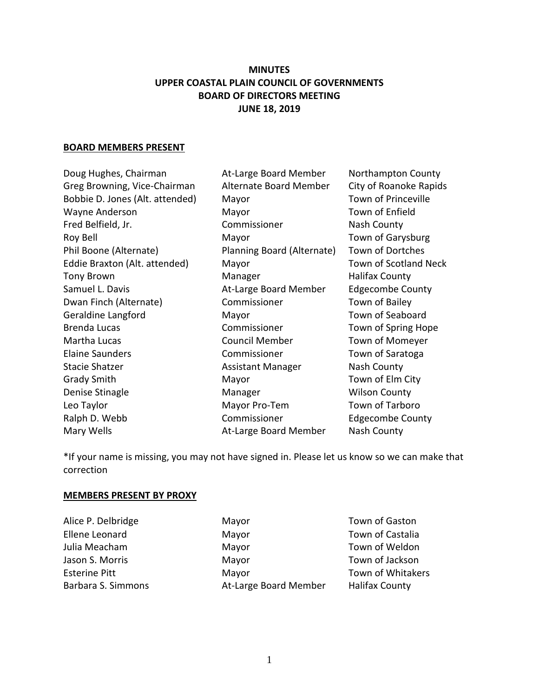# **MINUTES UPPER COASTAL PLAIN COUNCIL OF GOVERNMENTS BOARD OF DIRECTORS MEETING JUNE 18, 2019**

#### **BOARD MEMBERS PRESENT**

Doug Hughes, Chairman **At-Large Board Member** Northampton County Greg Browning, Vice-Chairman Alternate Board Member City of Roanoke Rapids Bobbie D. Jones (Alt. attended) Mayor Town of Princeville Wayne Anderson Mayor Mayor Town of Enfield Fred Belfield, Jr. Commissioner Nash County Roy Bell **Nayor** Mayor Town of Garysburg Phil Boone (Alternate) Planning Board (Alternate) Town of Dortches Eddie Braxton (Alt. attended) Mayor Town of Scotland Neck Tony Brown **Manager** Manager **Halifax County** Samuel L. Davis **At-Large Board Member** Edgecombe County Dwan Finch (Alternate) **Commissioner** Town of Bailey Geraldine Langford Mayor Mayor Town of Seaboard Brenda Lucas **Commissioner** Town of Spring Hope Martha Lucas Council Member Town of Momeyer Elaine Saunders Commissioner Town of Saratoga Stacie Shatzer **Assistant Manager** Assistant Manager Nash County Grady Smith Mayor Mayor Town of Elm City Denise Stinagle **Manager** Manager Manager Wilson County Leo Taylor **Mayor Pro-Tem** Town of Tarboro Ralph D. Webb **Commissioner** Edgecombe County Mary Wells **Mary Wells** At-Large Board Member Nash County

\*If your name is missing, you may not have signed in. Please let us know so we can make that correction

#### **MEMBERS PRESENT BY PROXY**

Alice P. Delbridge **Mayor** Mayor **Mayor** Town of Gaston

Ellene Leonard Mayor Mayor Town of Castalia Julia Meacham **Mayor** Mayor **Town of Weldon** Jason S. Morris **Mayor** Mayor Town of Jackson Esterine Pitt **Mayor** Mayor Town of Whitakers Barbara S. Simmons **At-Large Board Member** Halifax County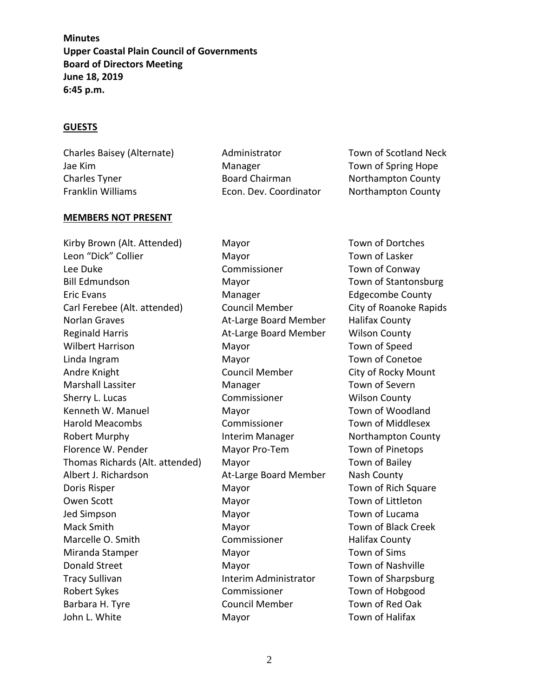#### **GUESTS**

Charles Baisey (Alternate) Administrator Town of Scotland Neck Jae Kim **Manager** Manager **Town of Spring Hope** Guide Contains the Manager Charles Tyner **Board Chairman** Northampton County Franklin Williams **Econ. Dev. Coordinator** Northampton County

## **MEMBERS NOT PRESENT**

Kirby Brown (Alt. Attended) Mayor Town of Dortches Leon "Dick" Collier **Mayor** Mayor Town of Lasker Lee Duke Commissioner Commissioner Town of Conway Bill Edmundson Mayor Town of Stantonsburg Eric Evans **Example 2018** Manager **Edgecombe County** Carl Ferebee (Alt. attended) Council Member City of Roanoke Rapids Norlan Graves **At-Large Board Member** Halifax County Reginald Harris **At-Large Board Member** Wilson County Wilbert Harrison **Mayor** Mayor **Town of Speed** Linda Ingram Mayor Town of Conetoe Andre Knight **Council Member** City of Rocky Mount Marshall Lassiter Manager Town of Severn Sherry L. Lucas **Commissioner** Wilson County Kenneth W. Manuel **Mayor** Mayor **Manuel Mayor** Town of Woodland Harold Meacombs Commissioner Town of Middlesex Robert Murphy **Interim Manager** Northampton County Florence W. Pender Mayor Pro-Tem Town of Pinetops Thomas Richards (Alt. attended) Mayor Town of Bailey Albert J. Richardson At-Large Board Member Nash County Doris Risper **Mayor** Mayor Town of Rich Square Owen Scott **Mayor** Mayor Town of Littleton Jed Simpson Town of Lucama Nayor Town of Lucama Mack Smith Mayor Town of Black Creek Marcelle O. Smith **Commissioner** Halifax County Miranda Stamper Mayor Town of Sims Donald Street **Mayor** Mayor Town of Nashville Tracy Sullivan Interim Administrator Town of Sharpsburg Robert Sykes Commissioner Town of Hobgood Barbara H. Tyre Council Member Town of Red Oak John L. White **Mayor** Mayor **Mayor** Town of Halifax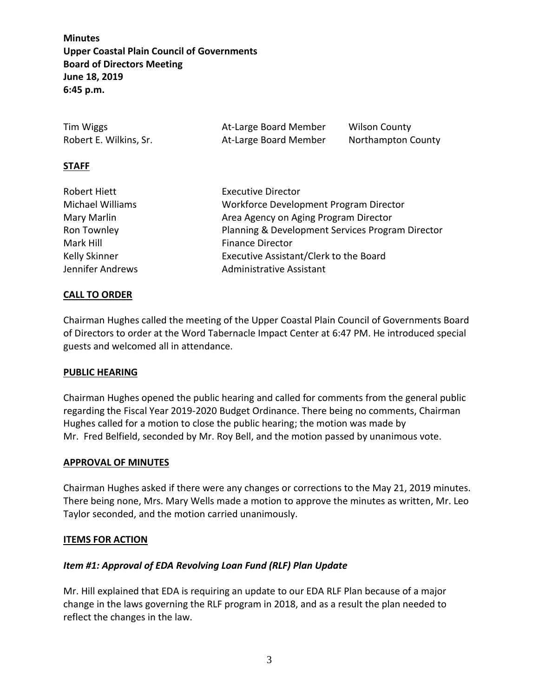| Tim Wiggs              | At-Large Board Member | Wilson County      |
|------------------------|-----------------------|--------------------|
| Robert E. Wilkins, Sr. | At-Large Board Member | Northampton County |

#### **STAFF**

| Robert Hiett     | <b>Executive Director</b>                        |  |
|------------------|--------------------------------------------------|--|
| Michael Williams | Workforce Development Program Director           |  |
| Mary Marlin      | Area Agency on Aging Program Director            |  |
| Ron Townley      | Planning & Development Services Program Director |  |
| Mark Hill        | <b>Finance Director</b>                          |  |
| Kelly Skinner    | Executive Assistant/Clerk to the Board           |  |
| Jennifer Andrews | <b>Administrative Assistant</b>                  |  |

## **CALL TO ORDER**

Chairman Hughes called the meeting of the Upper Coastal Plain Council of Governments Board of Directors to order at the Word Tabernacle Impact Center at 6:47 PM. He introduced special guests and welcomed all in attendance.

### **PUBLIC HEARING**

Chairman Hughes opened the public hearing and called for comments from the general public regarding the Fiscal Year 2019-2020 Budget Ordinance. There being no comments, Chairman Hughes called for a motion to close the public hearing; the motion was made by Mr. Fred Belfield, seconded by Mr. Roy Bell, and the motion passed by unanimous vote.

#### **APPROVAL OF MINUTES**

Chairman Hughes asked if there were any changes or corrections to the May 21, 2019 minutes. There being none, Mrs. Mary Wells made a motion to approve the minutes as written, Mr. Leo Taylor seconded, and the motion carried unanimously.

#### **ITEMS FOR ACTION**

### *Item #1: Approval of EDA Revolving Loan Fund (RLF) Plan Update*

Mr. Hill explained that EDA is requiring an update to our EDA RLF Plan because of a major change in the laws governing the RLF program in 2018, and as a result the plan needed to reflect the changes in the law.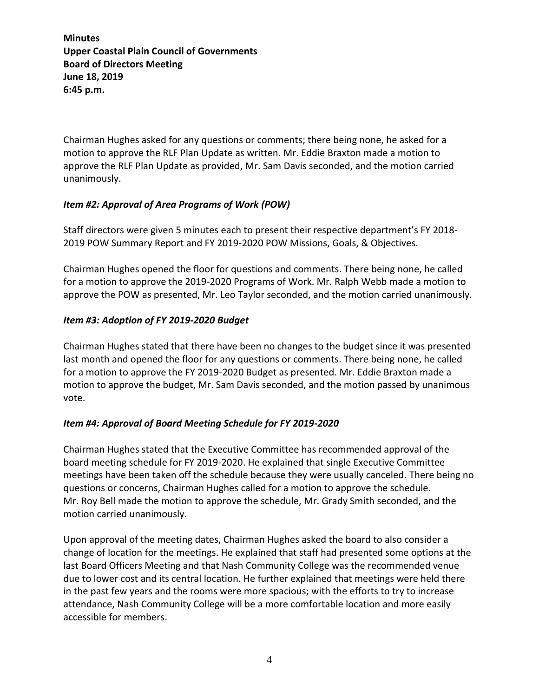Chairman Hughes asked for any questions or comments; there being none, he asked for a motion to approve the RLF Plan Update as written. Mr. Eddie Braxton made a motion to approve the RLF Plan Update as provided, Mr. Sam Davis seconded, and the motion carried unanimously.

## *Item #2: Approval of Area Programs of Work (POW)*

Staff directors were given 5 minutes each to present their respective department's FY 2018- 2019 POW Summary Report and FY 2019-2020 POW Missions, Goals, & Objectives.

Chairman Hughes opened the floor for questions and comments. There being none, he called for a motion to approve the 2019-2020 Programs of Work. Mr. Ralph Webb made a motion to approve the POW as presented, Mr. Leo Taylor seconded, and the motion carried unanimously.

# *Item #3: Adoption of FY 2019-2020 Budget*

Chairman Hughes stated that there have been no changes to the budget since it was presented last month and opened the floor for any questions or comments. There being none, he called for a motion to approve the FY 2019-2020 Budget as presented. Mr. Eddie Braxton made a motion to approve the budget, Mr. Sam Davis seconded, and the motion passed by unanimous vote.

# *Item #4: Approval of Board Meeting Schedule for FY 2019-2020*

Chairman Hughes stated that the Executive Committee has recommended approval of the board meeting schedule for FY 2019-2020. He explained that single Executive Committee meetings have been taken off the schedule because they were usually canceled. There being no questions or concerns, Chairman Hughes called for a motion to approve the schedule. Mr. Roy Bell made the motion to approve the schedule, Mr. Grady Smith seconded, and the motion carried unanimously.

Upon approval of the meeting dates, Chairman Hughes asked the board to also consider a change of location for the meetings. He explained that staff had presented some options at the last Board Officers Meeting and that Nash Community College was the recommended venue due to lower cost and its central location. He further explained that meetings were held there in the past few years and the rooms were more spacious; with the efforts to try to increase attendance, Nash Community College will be a more comfortable location and more easily accessible for members.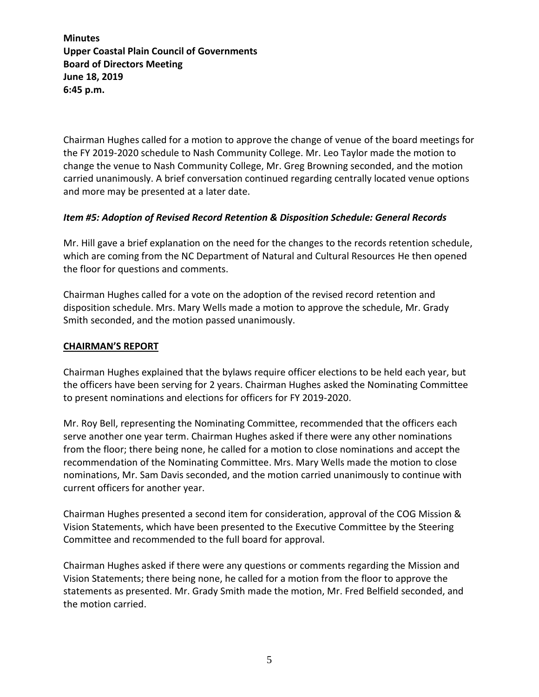Chairman Hughes called for a motion to approve the change of venue of the board meetings for the FY 2019-2020 schedule to Nash Community College. Mr. Leo Taylor made the motion to change the venue to Nash Community College, Mr. Greg Browning seconded, and the motion carried unanimously. A brief conversation continued regarding centrally located venue options and more may be presented at a later date.

## *Item #5: Adoption of Revised Record Retention & Disposition Schedule: General Records*

Mr. Hill gave a brief explanation on the need for the changes to the records retention schedule, which are coming from the NC Department of Natural and Cultural Resources He then opened the floor for questions and comments.

Chairman Hughes called for a vote on the adoption of the revised record retention and disposition schedule. Mrs. Mary Wells made a motion to approve the schedule, Mr. Grady Smith seconded, and the motion passed unanimously.

### **CHAIRMAN'S REPORT**

Chairman Hughes explained that the bylaws require officer elections to be held each year, but the officers have been serving for 2 years. Chairman Hughes asked the Nominating Committee to present nominations and elections for officers for FY 2019-2020.

Mr. Roy Bell, representing the Nominating Committee, recommended that the officers each serve another one year term. Chairman Hughes asked if there were any other nominations from the floor; there being none, he called for a motion to close nominations and accept the recommendation of the Nominating Committee. Mrs. Mary Wells made the motion to close nominations, Mr. Sam Davis seconded, and the motion carried unanimously to continue with current officers for another year.

Chairman Hughes presented a second item for consideration, approval of the COG Mission & Vision Statements, which have been presented to the Executive Committee by the Steering Committee and recommended to the full board for approval.

Chairman Hughes asked if there were any questions or comments regarding the Mission and Vision Statements; there being none, he called for a motion from the floor to approve the statements as presented. Mr. Grady Smith made the motion, Mr. Fred Belfield seconded, and the motion carried.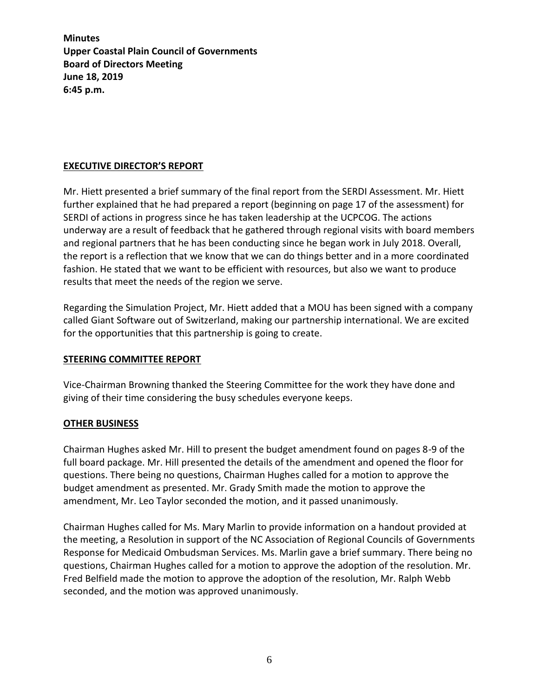## **EXECUTIVE DIRECTOR'S REPORT**

Mr. Hiett presented a brief summary of the final report from the SERDI Assessment. Mr. Hiett further explained that he had prepared a report (beginning on page 17 of the assessment) for SERDI of actions in progress since he has taken leadership at the UCPCOG. The actions underway are a result of feedback that he gathered through regional visits with board members and regional partners that he has been conducting since he began work in July 2018. Overall, the report is a reflection that we know that we can do things better and in a more coordinated fashion. He stated that we want to be efficient with resources, but also we want to produce results that meet the needs of the region we serve.

Regarding the Simulation Project, Mr. Hiett added that a MOU has been signed with a company called Giant Software out of Switzerland, making our partnership international. We are excited for the opportunities that this partnership is going to create.

### **STEERING COMMITTEE REPORT**

Vice-Chairman Browning thanked the Steering Committee for the work they have done and giving of their time considering the busy schedules everyone keeps.

### **OTHER BUSINESS**

Chairman Hughes asked Mr. Hill to present the budget amendment found on pages 8-9 of the full board package. Mr. Hill presented the details of the amendment and opened the floor for questions. There being no questions, Chairman Hughes called for a motion to approve the budget amendment as presented. Mr. Grady Smith made the motion to approve the amendment, Mr. Leo Taylor seconded the motion, and it passed unanimously.

Chairman Hughes called for Ms. Mary Marlin to provide information on a handout provided at the meeting, a Resolution in support of the NC Association of Regional Councils of Governments Response for Medicaid Ombudsman Services. Ms. Marlin gave a brief summary. There being no questions, Chairman Hughes called for a motion to approve the adoption of the resolution. Mr. Fred Belfield made the motion to approve the adoption of the resolution, Mr. Ralph Webb seconded, and the motion was approved unanimously.